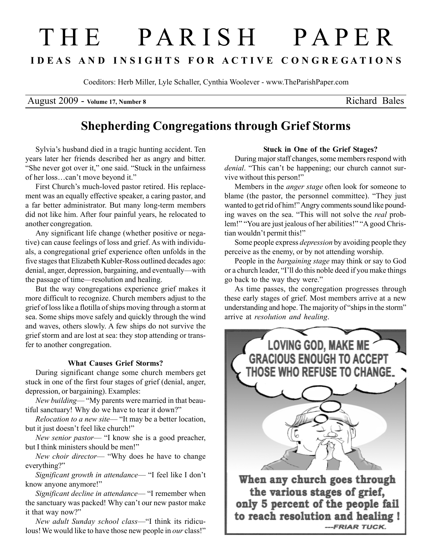# T H E P A R I S H P A P E R I D E A S A N D I N S I G H T S F O R A C T I V E C O N G R E G A T I O N S

Coeditors: Herb Miller, Lyle Schaller, Cynthia Woolever - www.TheParishPaper.com

August 2009 - Volume 17, Number 8 Richard Bales

# Shepherding Congregations through Grief Storms

Sylvia's husband died in a tragic hunting accident. Ten years later her friends described her as angry and bitter. "She never got over it," one said. "Stuck in the unfairness of her loss…can't move beyond it."

First Church's much-loved pastor retired. His replacement was an equally effective speaker, a caring pastor, and a far better administrator. But many long-term members did not like him. After four painful years, he relocated to another congregation.

Any significant life change (whether positive or negative) can cause feelings of loss and grief. As with individuals, a congregational grief experience often unfolds in the five stages that Elizabeth Kubler-Ross outlined decades ago: denial, anger, depression, bargaining, and eventually—with the passage of time—resolution and healing.

But the way congregations experience grief makes it more difficult to recognize. Church members adjust to the grief of loss like a flotilla of ships moving through a storm at sea. Some ships move safely and quickly through the wind and waves, others slowly. A few ships do not survive the grief storm and are lost at sea: they stop attending or transfer to another congregation.

#### What Causes Grief Storms?

During significant change some church members get stuck in one of the first four stages of grief (denial, anger, depression, or bargaining). Examples:

New building— "My parents were married in that beautiful sanctuary! Why do we have to tear it down?"

Relocation to a new site— "It may be a better location, but it just doesn't feel like church!"

New senior pastor— "I know she is a good preacher, but I think ministers should be men!"

New choir director— "Why does he have to change everything?"

Significant growth in attendance— "I feel like I don't know anyone anymore!"

Significant decline in attendance— "I remember when the sanctuary was packed! Why can't our new pastor make it that way now?"

New adult Sunday school class—"I think its ridiculous! We would like to have those new people in *our* class!"

## Stuck in One of the Grief Stages?

During major staff changes, some members respond with denial. "This can't be happening; our church cannot survive without this person!"

Members in the *anger stage* often look for someone to blame (the pastor, the personnel committee). "They just wanted to get rid of him!" Angry comments sound like pounding waves on the sea. "This will not solve the real problem!" "You are just jealous of her abilities!" "A good Christian wouldn't permit this!"

Some people express depression by avoiding people they perceive as the enemy, or by not attending worship.

People in the bargaining stage may think or say to God or a church leader, "I'll do this noble deed if you make things go back to the way they were."

As time passes, the congregation progresses through these early stages of grief. Most members arrive at a new understanding and hope. The majority of "ships in the storm" arrive at resolution and healing.